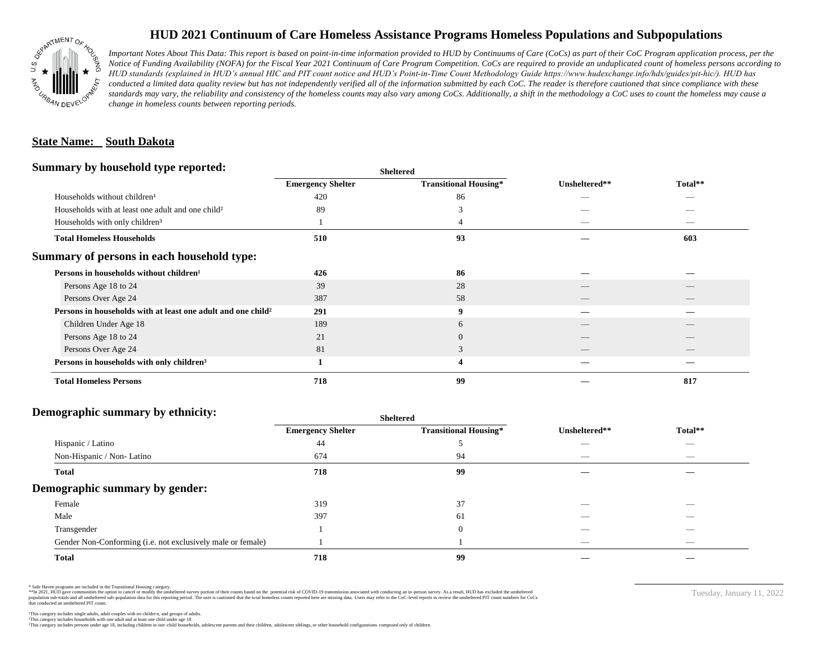

## **HUD 2021 Continuum of Care Homeless Assistance Programs Homeless Populations and Subpopulations**

*Important Notes About This Data: This report is based on point-in-time information provided to HUD by Continuums of Care (CoCs) as part of their CoC Program application process, per the Notice of Funding Availability (NOFA) for the Fiscal Year 2021 Continuum of Care Program Competition. CoCs are required to provide an unduplicated count of homeless persons according to HUD standards (explained in HUD's annual HIC and PIT count notice and HUD's Point-in-Time Count Methodology Guide https://www.hudexchange.info/hdx/guides/pit-hic/). HUD has*  conducted a limited data quality review but has not independently verified all of the information submitted by each CoC. The reader is therefore cautioned that since compliance with these standards may vary, the reliability and consistency of the homeless counts may also vary among CoCs. Additionally, a shift in the methodology a CoC uses to count the homeless may cause a *change in homeless counts between reporting periods.*

#### **State Name: South Dakota**

#### **Summary by household type reported:**

| Summary by household type reported:                                      |                          | <b>Sheltered</b>             |               |         |  |  |
|--------------------------------------------------------------------------|--------------------------|------------------------------|---------------|---------|--|--|
|                                                                          | <b>Emergency Shelter</b> | <b>Transitional Housing*</b> | Unsheltered** | Total** |  |  |
| Households without children <sup>1</sup>                                 | 420                      | 86                           |               |         |  |  |
| Households with at least one adult and one child <sup>2</sup>            | 89                       |                              |               |         |  |  |
| Households with only children <sup>3</sup>                               |                          |                              |               |         |  |  |
| <b>Total Homeless Households</b>                                         | 510                      | 93                           |               | 603     |  |  |
| Summary of persons in each household type:                               |                          |                              |               |         |  |  |
| Persons in households without children <sup>1</sup>                      | 426                      | 86                           |               |         |  |  |
| Persons Age 18 to 24                                                     | 39                       | 28                           |               |         |  |  |
| Persons Over Age 24                                                      | 387                      | 58                           |               |         |  |  |
| Persons in households with at least one adult and one child <sup>2</sup> | 291                      | $\boldsymbol{9}$             |               |         |  |  |
| Children Under Age 18                                                    | 189                      | 6                            | __            |         |  |  |
| Persons Age 18 to 24                                                     | 21                       | $\overline{0}$               |               |         |  |  |
| Persons Over Age 24                                                      | 81                       | 3                            |               |         |  |  |
| Persons in households with only children <sup>3</sup>                    |                          | 4                            |               |         |  |  |
| <b>Total Homeless Persons</b>                                            | 718                      | 99                           |               | 817     |  |  |

## **Demographic summary by ethnicity:**

|                                                             | <b>Sheltered</b>         |                              |               |                          |  |
|-------------------------------------------------------------|--------------------------|------------------------------|---------------|--------------------------|--|
|                                                             | <b>Emergency Shelter</b> | <b>Transitional Housing*</b> | Unsheltered** | Total**                  |  |
| Hispanic / Latino                                           | 44                       |                              |               | $\sim$                   |  |
| Non-Hispanic / Non-Latino                                   | 674                      | 94                           | __            | $\overline{\phantom{a}}$ |  |
| <b>Total</b>                                                | 718                      | 99                           |               |                          |  |
| Demographic summary by gender:                              |                          |                              |               |                          |  |
| Female                                                      | 319                      | 37                           | _             | _                        |  |
| Male                                                        | 397                      | 61                           |               |                          |  |
| Transgender                                                 |                          | $\overline{0}$               |               |                          |  |
| Gender Non-Conforming (i.e. not exclusively male or female) |                          |                              | _             | $-$                      |  |
| <b>Total</b>                                                | 718                      | 99                           |               |                          |  |

\* Safe Haven programs are included in the Transitional Housing category.

\*\*In 2021, HUD gave communities the option to cancel or modify the unsheltered survey portion of their counts based on the potential risk of COVID-19 transmission associated with conducting an in-person survey. As a result n political and distribution of the resort in the constant of the experimental and the constant of the constant of the constant of the constant of the constant of the constant of the constant of the constant of the constan that conducted an unsheltered PIT count.